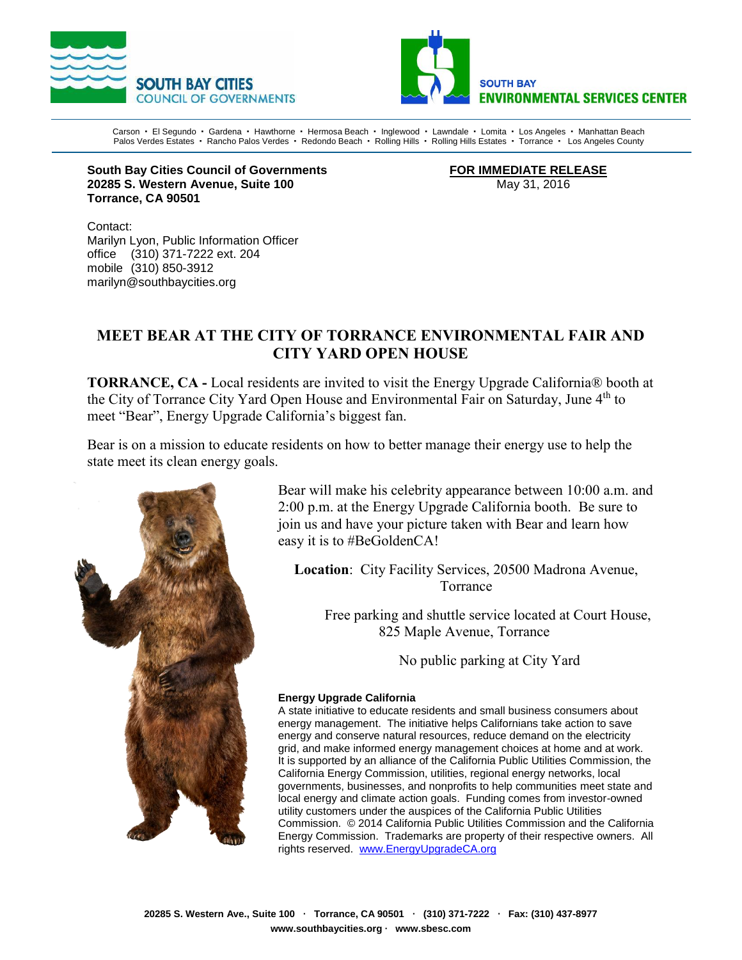



Carson · El Segundo · Gardena · Hawthorne · Hermosa Beach · Inglewood · Lawndale · Lomita · Los Angeles · Manhattan Beach Palos Verdes Estates · Rancho Palos Verdes · Redondo Beach · Rolling Hills · Rolling Hills Estates · Torrance · Los Angeles County

**South Bay Cities Council of Governments FOR IMMEDIATE RELEASE 20285 S. Western Avenue, Suite 100** May 31, 2016 **Torrance, CA 90501**

Contact: Marilyn Lyon, Public Information Officer office (310) 371-7222 ext. 204 mobile (310) 850-3912 marilyn@southbaycities.org

## **MEET BEAR AT THE CITY OF TORRANCE ENVIRONMENTAL FAIR AND CITY YARD OPEN HOUSE**

**TORRANCE, CA -** Local residents are invited to visit the Energy Upgrade California® booth at the City of Torrance City Yard Open House and Environmental Fair on Saturday, June 4<sup>th</sup> to meet "Bear", Energy Upgrade California's biggest fan.

Bear is on a mission to educate residents on how to better manage their energy use to help the state meet its clean energy goals.



Bear will make his celebrity appearance between 10:00 a.m. and 2:00 p.m. at the Energy Upgrade California booth. Be sure to join us and have your picture taken with Bear and learn how easy it is to #BeGoldenCA!

**Location**: City Facility Services, 20500 Madrona Avenue, Torrance

Free parking and shuttle service located at Court House, 825 Maple Avenue, Torrance

No public parking at City Yard

## **Energy Upgrade California**

A state initiative to educate residents and small business consumers about energy management. The initiative helps Californians take action to save energy and conserve natural resources, reduce demand on the electricity grid, and make informed energy management choices at home and at work. It is supported by an alliance of the California Public Utilities Commission, the California Energy Commission, utilities, regional energy networks, local governments, businesses, and nonprofits to help communities meet state and local energy and climate action goals. Funding comes from investor-owned utility customers under the auspices of the California Public Utilities Commission. © 2014 California Public Utilities Commission and the California Energy Commission. Trademarks are property of their respective owners. All rights reserved. [www.EnergyUpgradeCA.org](http://www.energyupgradeca.org/)